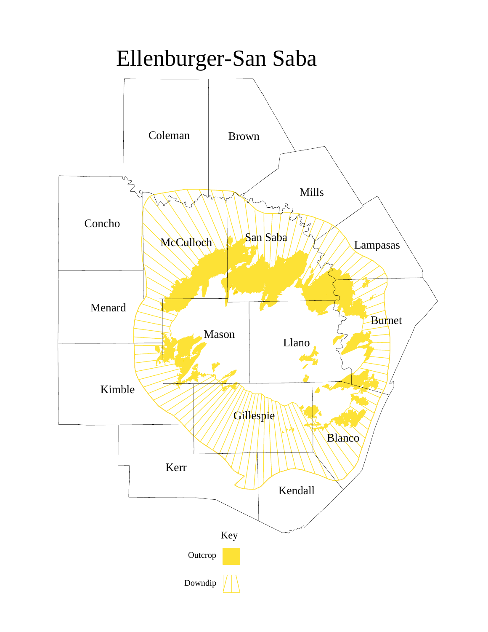